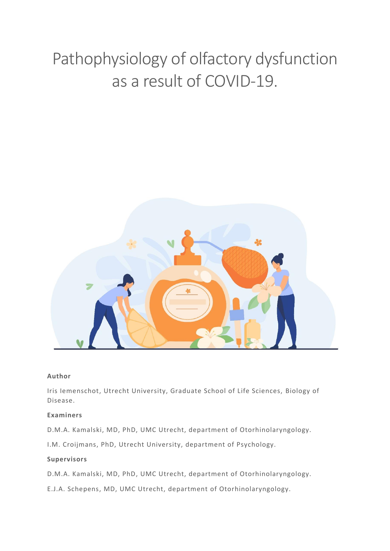# Pathophysiology of olfactory dysfunction as a result of COVID-19.



#### **Author**

Iris Iemenschot, Utrecht University, Graduate School of Life Sciences, Biology of Disease.

#### **Examiners**

D.M.A. Kamalski, MD, PhD, UMC Utrecht, department of Otorhinolaryngology.

I.M. Croijmans, PhD, Utrecht University, department of Psychology.

#### **Supervisors**

D.M.A. Kamalski, MD, PhD, UMC Utrecht, department of Otorhinolaryngology.

E.J.A. Schepens, MD, UMC Utrecht, department of Otorhinolaryngology.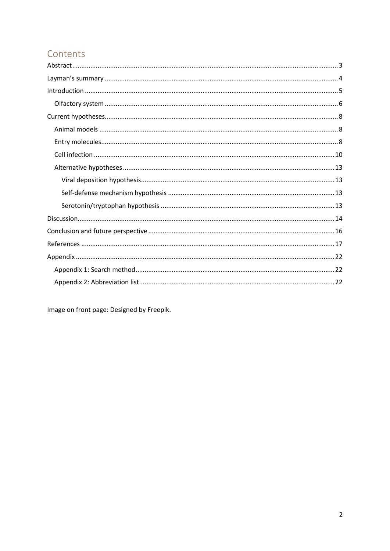# Contents

Image on front page: Designed by Freepik.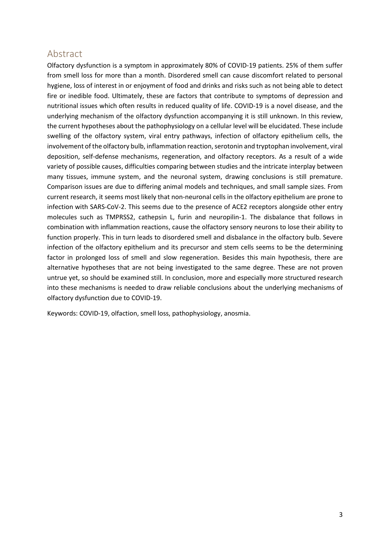## <span id="page-2-0"></span>Abstract

Olfactory dysfunction is a symptom in approximately 80% of COVID-19 patients. 25% of them suffer from smell loss for more than a month. Disordered smell can cause discomfort related to personal hygiene, loss of interest in or enjoyment of food and drinks and risks such as not being able to detect fire or inedible food. Ultimately, these are factors that contribute to symptoms of depression and nutritional issues which often results in reduced quality of life. COVID-19 is a novel disease, and the underlying mechanism of the olfactory dysfunction accompanying it is still unknown. In this review, the current hypotheses about the pathophysiology on a cellular level will be elucidated. These include swelling of the olfactory system, viral entry pathways, infection of olfactory epithelium cells, the involvement of the olfactory bulb, inflammation reaction, serotonin and tryptophan involvement, viral deposition, self-defense mechanisms, regeneration, and olfactory receptors. As a result of a wide variety of possible causes, difficulties comparing between studies and the intricate interplay between many tissues, immune system, and the neuronal system, drawing conclusions is still premature. Comparison issues are due to differing animal models and techniques, and small sample sizes. From current research, it seems most likely that non-neuronal cells in the olfactory epithelium are prone to infection with SARS-CoV-2. This seems due to the presence of ACE2 receptors alongside other entry molecules such as TMPRSS2, cathepsin L, furin and neuropilin-1. The disbalance that follows in combination with inflammation reactions, cause the olfactory sensory neurons to lose their ability to function properly. This in turn leads to disordered smell and disbalance in the olfactory bulb. Severe infection of the olfactory epithelium and its precursor and stem cells seems to be the determining factor in prolonged loss of smell and slow regeneration. Besides this main hypothesis, there are alternative hypotheses that are not being investigated to the same degree. These are not proven untrue yet, so should be examined still. In conclusion, more and especially more structured research into these mechanisms is needed to draw reliable conclusions about the underlying mechanisms of olfactory dysfunction due to COVID-19.

Keywords: COVID-19, olfaction, smell loss, pathophysiology, anosmia.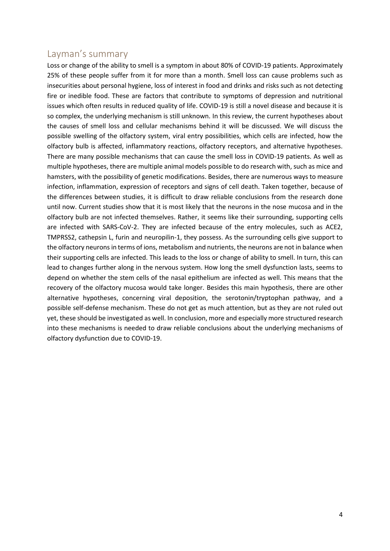## <span id="page-3-0"></span>Layman's summary

Loss or change of the ability to smell is a symptom in about 80% of COVID-19 patients. Approximately 25% of these people suffer from it for more than a month. Smell loss can cause problems such as insecurities about personal hygiene, loss of interest in food and drinks and risks such as not detecting fire or inedible food. These are factors that contribute to symptoms of depression and nutritional issues which often results in reduced quality of life. COVID-19 is still a novel disease and because it is so complex, the underlying mechanism is still unknown. In this review, the current hypotheses about the causes of smell loss and cellular mechanisms behind it will be discussed. We will discuss the possible swelling of the olfactory system, viral entry possibilities, which cells are infected, how the olfactory bulb is affected, inflammatory reactions, olfactory receptors, and alternative hypotheses. There are many possible mechanisms that can cause the smell loss in COVID-19 patients. As well as multiple hypotheses, there are multiple animal models possible to do research with, such as mice and hamsters, with the possibility of genetic modifications. Besides, there are numerous ways to measure infection, inflammation, expression of receptors and signs of cell death. Taken together, because of the differences between studies, it is difficult to draw reliable conclusions from the research done until now. Current studies show that it is most likely that the neurons in the nose mucosa and in the olfactory bulb are not infected themselves. Rather, it seems like their surrounding, supporting cells are infected with SARS-CoV-2. They are infected because of the entry molecules, such as ACE2, TMPRSS2, cathepsin L, furin and neuropilin-1, they possess. As the surrounding cells give support to the olfactory neurons in terms of ions, metabolism and nutrients, the neurons are not in balance when their supporting cells are infected. This leads to the loss or change of ability to smell. In turn, this can lead to changes further along in the nervous system. How long the smell dysfunction lasts, seems to depend on whether the stem cells of the nasal epithelium are infected as well. This means that the recovery of the olfactory mucosa would take longer. Besides this main hypothesis, there are other alternative hypotheses, concerning viral deposition, the serotonin/tryptophan pathway, and a possible self-defense mechanism. These do not get as much attention, but as they are not ruled out yet, these should be investigated as well. In conclusion, more and especially more structured research into these mechanisms is needed to draw reliable conclusions about the underlying mechanisms of olfactory dysfunction due to COVID-19.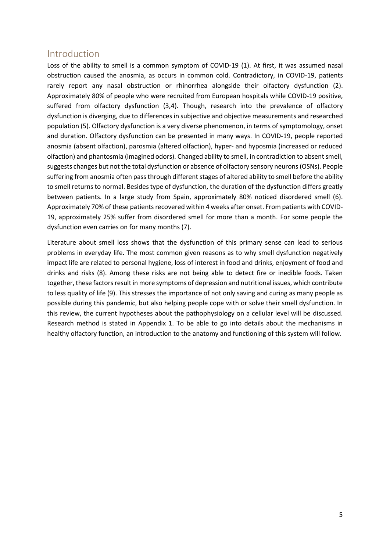## <span id="page-4-0"></span>Introduction

Loss of the ability to smell is a common symptom of COVID-19 (1). At first, it was assumed nasal obstruction caused the anosmia, as occurs in common cold. Contradictory, in COVID-19, patients rarely report any nasal obstruction or rhinorrhea alongside their olfactory dysfunction (2). Approximately 80% of people who were recruited from European hospitals while COVID-19 positive, suffered from olfactory dysfunction (3,4). Though, research into the prevalence of olfactory dysfunction is diverging, due to differences in subjective and objective measurements and researched population (5). Olfactory dysfunction is a very diverse phenomenon, in terms of symptomology, onset and duration. Olfactory dysfunction can be presented in many ways. In COVID-19, people reported anosmia (absent olfaction), parosmia (altered olfaction), hyper- and hyposmia (increased or reduced olfaction) and phantosmia (imagined odors). Changed ability to smell, in contradiction to absent smell, suggests changes but not the total dysfunction or absence of olfactory sensory neurons (OSNs). People suffering from anosmia often pass through different stages of altered ability to smell before the ability to smell returns to normal. Besides type of dysfunction, the duration of the dysfunction differs greatly between patients. In a large study from Spain, approximately 80% noticed disordered smell (6). Approximately 70% of these patients recovered within 4 weeks after onset. From patients with COVID-19, approximately 25% suffer from disordered smell for more than a month. For some people the dysfunction even carries on for many months (7).

Literature about smell loss shows that the dysfunction of this primary sense can lead to serious problems in everyday life. The most common given reasons as to why smell dysfunction negatively impact life are related to personal hygiene, loss of interest in food and drinks, enjoyment of food and drinks and risks (8). Among these risks are not being able to detect fire or inedible foods. Taken together, these factors result in more symptoms of depression and nutritional issues, which contribute to less quality of life (9). This stresses the importance of not only saving and curing as many people as possible during this pandemic, but also helping people cope with or solve their smell dysfunction. In this review, the current hypotheses about the pathophysiology on a cellular level will be discussed. Research method is stated in Appendix 1. To be able to go into details about the mechanisms in healthy olfactory function, an introduction to the anatomy and functioning of this system will follow.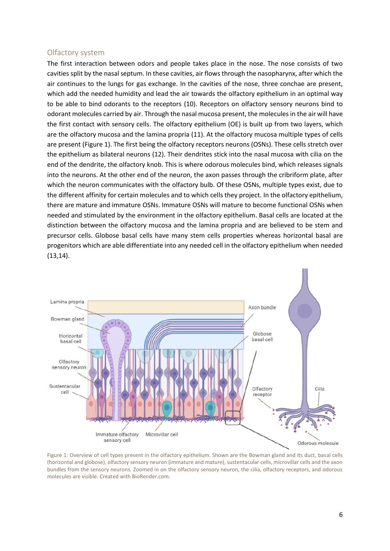#### <span id="page-5-0"></span>Olfactory system

The first interaction between odors and people takes place in the nose. The nose consists of two cavities split by the nasal septum. In these cavities, air flows through the nasopharynx, after which the air continues to the lungs for gas exchange. In the cavities of the nose, three conchae are present, which add the needed humidity and lead the air towards the olfactory epithelium in an optimal way to be able to bind odorants to the receptors (10). Receptors on olfactory sensory neurons bind to odorant molecules carried by air. Through the nasal mucosa present, the molecules in the air will have the first contact with sensory cells. The olfactory epithelium (OE) is built up from two layers, which are the olfactory mucosa and the lamina propria (11). At the olfactory mucosa multiple types of cells are present (Figure 1). The first being the olfactory receptors neurons (OSNs). These cells stretch over the epithelium as bilateral neurons (12). Their dendrites stick into the nasal mucosa with cilia on the end of the dendrite, the olfactory knob. This is where odorous molecules bind, which releases signals into the neurons. At the other end of the neuron, the axon passes through the cribriform plate, after which the neuron communicates with the olfactory bulb. Of these OSNs, multiple types exist, due to the different affinity for certain molecules and to which cells they project. In the olfactory epithelium, there are mature and immature OSNs. Immature OSNs will mature to become functional OSNs when needed and stimulated by the environment in the olfactory epithelium. Basal cells are located at the distinction between the olfactory mucosa and the lamina propria and are believed to be stem and precursor cells. Globose basal cells have many stem cells properties whereas horizontal basal are progenitors which are able differentiate into any needed cell in the olfactory epithelium when needed (13,14).



Figure 1: Overview of cell types present in the olfactory epithelium. Shown are the Bowman gland and its duct, basal cells (horizontal and globose), olfactory sensory neuron (immature and mature), sustentacular cells, microvillar cells and the axon bundles from the sensory neurons. Zoomed in on the olfactory sensory neuron, the cilia, olfactory receptors, and odorous molecules are visible. Created with BioRender.com.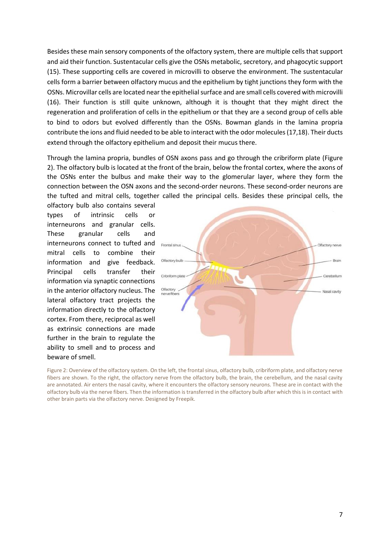Besides these main sensory components of the olfactory system, there are multiple cells that support and aid their function. Sustentacular cells give the OSNs metabolic, secretory, and phagocytic support (15). These supporting cells are covered in microvilli to observe the environment. The sustentacular cells form a barrier between olfactory mucus and the epithelium by tight junctions they form with the OSNs. Microvillar cells are located near the epithelial surface and are small cells covered with microvilli (16). Their function is still quite unknown, although it is thought that they might direct the regeneration and proliferation of cells in the epithelium or that they are a second group of cells able to bind to odors but evolved differently than the OSNs. Bowman glands in the lamina propria contribute the ions and fluid needed to be able to interact with the odor molecules(17,18). Their ducts extend through the olfactory epithelium and deposit their mucus there.

Through the lamina propria, bundles of OSN axons pass and go through the cribriform plate (Figure 2). The olfactory bulb is located at the front of the brain, below the frontal cortex, where the axons of the OSNs enter the bulbus and make their way to the glomerular layer, where they form the connection between the OSN axons and the second-order neurons. These second-order neurons are the tufted and mitral cells, together called the principal cells. Besides these principal cells, the

olfactory bulb also contains several types of intrinsic cells or interneurons and granular cells. These granular cells and interneurons connect to tufted and mitral cells to combine their information and give feedback. Principal cells transfer their information via synaptic connections in the anterior olfactory nucleus. The lateral olfactory tract projects the information directly to the olfactory cortex. From there, reciprocal as well as extrinsic connections are made further in the brain to regulate the ability to smell and to process and beware of smell.



Figure 2: Overview of the olfactory system. On the left, the frontal sinus, olfactory bulb, cribriform plate, and olfactory nerve fibers are shown. To the right, the olfactory nerve from the olfactory bulb, the brain, the cerebellum, and the nasal cavity are annotated. Air enters the nasal cavity, where it encounters the olfactory sensory neurons. These are in contact with the olfactory bulb via the nerve fibers. Then the information is transferred in the olfactory bulb after which this is in contact with other brain parts via the olfactory nerve. Designed by Freepik.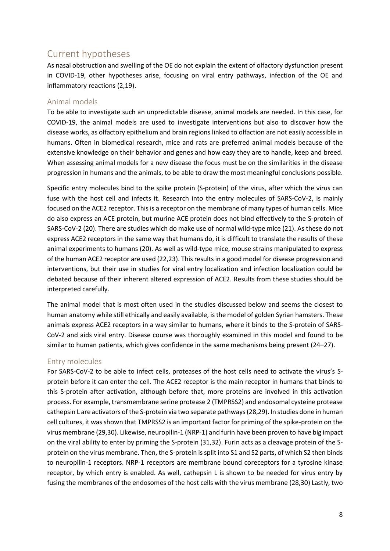# <span id="page-7-0"></span>Current hypotheses

As nasal obstruction and swelling of the OE do not explain the extent of olfactory dysfunction present in COVID-19, other hypotheses arise, focusing on viral entry pathways, infection of the OE and inflammatory reactions (2,19).

#### <span id="page-7-1"></span>Animal models

To be able to investigate such an unpredictable disease, animal models are needed. In this case, for COVID-19, the animal models are used to investigate interventions but also to discover how the disease works, as olfactory epithelium and brain regions linked to olfaction are not easily accessible in humans. Often in biomedical research, mice and rats are preferred animal models because of the extensive knowledge on their behavior and genes and how easy they are to handle, keep and breed. When assessing animal models for a new disease the focus must be on the similarities in the disease progression in humans and the animals, to be able to draw the most meaningful conclusions possible.

Specific entry molecules bind to the spike protein (S-protein) of the virus, after which the virus can fuse with the host cell and infects it. Research into the entry molecules of SARS-CoV-2, is mainly focused on the ACE2 receptor. This is a receptor on the membrane of many types of human cells. Mice do also express an ACE protein, but murine ACE protein does not bind effectively to the S-protein of SARS-CoV-2 (20). There are studies which do make use of normal wild-type mice (21). As these do not express ACE2 receptors in the same way that humans do, it is difficult to translate the results of these animal experiments to humans (20). As well as wild-type mice, mouse strains manipulated to express of the human ACE2 receptor are used (22,23). This results in a good model for disease progression and interventions, but their use in studies for viral entry localization and infection localization could be debated because of their inherent altered expression of ACE2. Results from these studies should be interpreted carefully.

The animal model that is most often used in the studies discussed below and seems the closest to human anatomy while still ethically and easily available, is the model of golden Syrian hamsters. These animals express ACE2 receptors in a way similar to humans, where it binds to the S-protein of SARS-CoV-2 and aids viral entry. Disease course was thoroughly examined in this model and found to be similar to human patients, which gives confidence in the same mechanisms being present (24–27).

#### <span id="page-7-2"></span>Entry molecules

For SARS-CoV-2 to be able to infect cells, proteases of the host cells need to activate the virus's Sprotein before it can enter the cell. The ACE2 receptor is the main receptor in humans that binds to this S-protein after activation, although before that, more proteins are involved in this activation process. For example, transmembrane serine protease 2 (TMPRSS2) and endosomal cysteine protease cathepsin L are activators of the S-protein via two separate pathways (28,29). In studies done in human cell cultures, it was shown that TMPRSS2 is an important factor for priming of the spike-protein on the virus membrane (29,30). Likewise, neuropilin-1 (NRP-1) and furin have been proven to have big impact on the viral ability to enter by priming the S-protein (31,32). Furin acts as a cleavage protein of the Sprotein on the virus membrane. Then, the S-protein is split into S1 and S2 parts, of which S2 then binds to neuropilin-1 receptors. NRP-1 receptors are membrane bound coreceptors for a tyrosine kinase receptor, by which entry is enabled. As well, cathepsin L is shown to be needed for virus entry by fusing the membranes of the endosomes of the host cells with the virus membrane (28,30) Lastly, two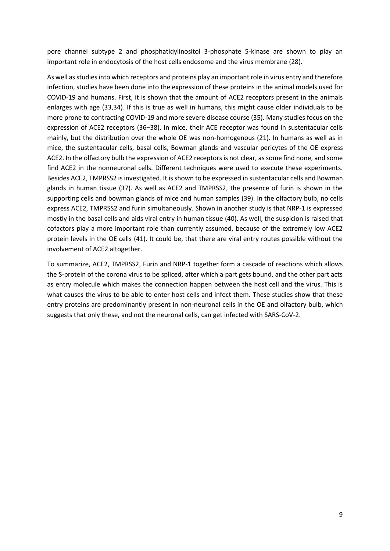pore channel subtype 2 and phosphatidylinositol 3-phosphate 5-kinase are shown to play an important role in endocytosis of the host cells endosome and the virus membrane (28).

As well as studies into which receptors and proteins play an important role in virus entry and therefore infection, studies have been done into the expression of these proteins in the animal models used for COVID-19 and humans. First, it is shown that the amount of ACE2 receptors present in the animals enlarges with age (33,34). If this is true as well in humans, this might cause older individuals to be more prone to contracting COVID-19 and more severe disease course (35). Many studies focus on the expression of ACE2 receptors (36–38). In mice, their ACE receptor was found in sustentacular cells mainly, but the distribution over the whole OE was non-homogenous (21). In humans as well as in mice, the sustentacular cells, basal cells, Bowman glands and vascular pericytes of the OE express ACE2. In the olfactory bulb the expression of ACE2 receptors is not clear, as some find none, and some find ACE2 in the nonneuronal cells. Different techniques were used to execute these experiments. Besides ACE2, TMPRSS2 is investigated. It is shown to be expressed in sustentacular cells and Bowman glands in human tissue (37). As well as ACE2 and TMPRSS2, the presence of furin is shown in the supporting cells and bowman glands of mice and human samples (39). In the olfactory bulb, no cells express ACE2, TMPRSS2 and furin simultaneously. Shown in another study is that NRP-1 is expressed mostly in the basal cells and aids viral entry in human tissue (40). As well, the suspicion is raised that cofactors play a more important role than currently assumed, because of the extremely low ACE2 protein levels in the OE cells (41). It could be, that there are viral entry routes possible without the involvement of ACE2 altogether.

To summarize, ACE2, TMPRSS2, Furin and NRP-1 together form a cascade of reactions which allows the S-protein of the corona virus to be spliced, after which a part gets bound, and the other part acts as entry molecule which makes the connection happen between the host cell and the virus. This is what causes the virus to be able to enter host cells and infect them. These studies show that these entry proteins are predominantly present in non-neuronal cells in the OE and olfactory bulb, which suggests that only these, and not the neuronal cells, can get infected with SARS-CoV-2.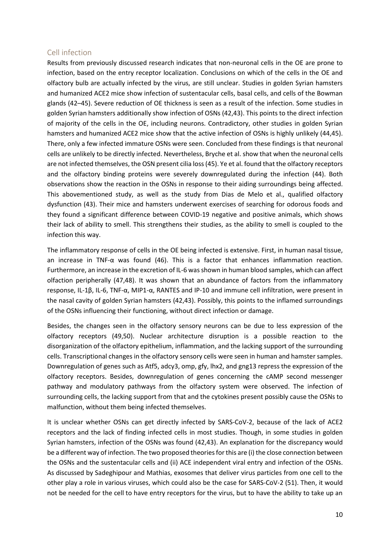#### <span id="page-9-0"></span>Cell infection

Results from previously discussed research indicates that non-neuronal cells in the OE are prone to infection, based on the entry receptor localization. Conclusions on which of the cells in the OE and olfactory bulb are actually infected by the virus, are still unclear. Studies in golden Syrian hamsters and humanized ACE2 mice show infection of sustentacular cells, basal cells, and cells of the Bowman glands (42–45). Severe reduction of OE thickness is seen as a result of the infection. Some studies in golden Syrian hamsters additionally show infection of OSNs (42,43). This points to the direct infection of majority of the cells in the OE, including neurons. Contradictory, other studies in golden Syrian hamsters and humanized ACE2 mice show that the active infection of OSNs is highly unlikely (44,45). There, only a few infected immature OSNs were seen. Concluded from these findings is that neuronal cells are unlikely to be directly infected. Nevertheless, Bryche et al. show that when the neuronal cells are not infected themselves, the OSN present cilia loss(45). Ye et al. found that the olfactory receptors and the olfactory binding proteins were severely downregulated during the infection (44). Both observations show the reaction in the OSNs in response to their aiding surroundings being affected. This abovementioned study, as well as the study from Dias de Melo et al., qualified olfactory dysfunction (43). Their mice and hamsters underwent exercises of searching for odorous foods and they found a significant difference between COVID-19 negative and positive animals, which shows their lack of ability to smell. This strengthens their studies, as the ability to smell is coupled to the infection this way.

The inflammatory response of cells in the OE being infected is extensive. First, in human nasal tissue, an increase in TNF-α was found (46). This is a factor that enhances inflammation reaction. Furthermore, an increase in the excretion of IL-6 was shown in human blood samples, which can affect olfaction peripherally (47,48). It was shown that an abundance of factors from the inflammatory response, IL-1β, IL-6, TNF-α, MIP1-α, RANTES and IP-10 and immune cell infiltration, were present in the nasal cavity of golden Syrian hamsters (42,43). Possibly, this points to the inflamed surroundings of the OSNs influencing their functioning, without direct infection or damage.

Besides, the changes seen in the olfactory sensory neurons can be due to less expression of the olfactory receptors (49,50). Nuclear architecture disruption is a possible reaction to the disorganization of the olfactory epithelium, inflammation, and the lacking support of the surrounding cells. Transcriptional changes in the olfactory sensory cells were seen in human and hamster samples. Downregulation of genes such as Atf5, adcy3, omp, gfy, lhx2, and gng13 repress the expression of the olfactory receptors. Besides, downregulation of genes concerning the cAMP second messenger pathway and modulatory pathways from the olfactory system were observed. The infection of surrounding cells, the lacking support from that and the cytokines present possibly cause the OSNs to malfunction, without them being infected themselves.

It is unclear whether OSNs can get directly infected by SARS-CoV-2, because of the lack of ACE2 receptors and the lack of finding infected cells in most studies. Though, in some studies in golden Syrian hamsters, infection of the OSNs was found (42,43). An explanation for the discrepancy would be a different way of infection. The two proposed theories for this are (i) the close connection between the OSNs and the sustentacular cells and (ii) ACE independent viral entry and infection of the OSNs. As discussed by Sadeghipour and Mathias, exosomes that deliver virus particles from one cell to the other play a role in various viruses, which could also be the case for SARS-CoV-2 (51). Then, it would not be needed for the cell to have entry receptors for the virus, but to have the ability to take up an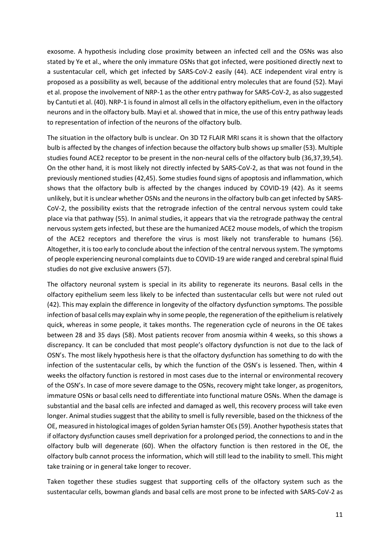exosome. A hypothesis including close proximity between an infected cell and the OSNs was also stated by Ye et al., where the only immature OSNs that got infected, were positioned directly next to a sustentacular cell, which get infected by SARS-CoV-2 easily (44). ACE independent viral entry is proposed as a possibility as well, because of the additional entry molecules that are found (52). Mayi et al. propose the involvement of NRP-1 as the other entry pathway for SARS-CoV-2, as also suggested by Cantuti et al. (40). NRP-1 is found in almost all cells in the olfactory epithelium, even in the olfactory neurons and in the olfactory bulb. Mayi et al. showed that in mice, the use of this entry pathway leads to representation of infection of the neurons of the olfactory bulb.

The situation in the olfactory bulb is unclear. On 3D T2 FLAIR MRI scans it is shown that the olfactory bulb is affected by the changes of infection because the olfactory bulb shows up smaller (53). Multiple studies found ACE2 receptor to be present in the non-neural cells of the olfactory bulb (36,37,39,54). On the other hand, it is most likely not directly infected by SARS-CoV-2, as that was not found in the previously mentioned studies (42,45). Some studies found signs of apoptosis and inflammation, which shows that the olfactory bulb is affected by the changes induced by COVID-19 (42). As it seems unlikely, but it is unclear whether OSNs and the neurons in the olfactory bulb can get infected by SARS-CoV-2, the possibility exists that the retrograde infection of the central nervous system could take place via that pathway (55). In animal studies, it appears that via the retrograde pathway the central nervous system gets infected, but these are the humanized ACE2 mouse models, of which the tropism of the ACE2 receptors and therefore the virus is most likely not transferable to humans (56). Altogether, it is too early to conclude about the infection of the central nervous system. The symptoms of people experiencing neuronal complaints due to COVID-19 are wide ranged and cerebral spinal fluid studies do not give exclusive answers (57).

The olfactory neuronal system is special in its ability to regenerate its neurons. Basal cells in the olfactory epithelium seem less likely to be infected than sustentacular cells but were not ruled out (42). This may explain the difference in longevity of the olfactory dysfunction symptoms. The possible infection of basal cells may explain why in some people, the regeneration of the epithelium is relatively quick, whereas in some people, it takes months. The regeneration cycle of neurons in the OE takes between 28 and 35 days (58). Most patients recover from anosmia within 4 weeks, so this shows a discrepancy. It can be concluded that most people's olfactory dysfunction is not due to the lack of OSN's. The most likely hypothesis here is that the olfactory dysfunction has something to do with the infection of the sustentacular cells, by which the function of the OSN's is lessened. Then, within 4 weeks the olfactory function is restored in most cases due to the internal or environmental recovery of the OSN's. In case of more severe damage to the OSNs, recovery might take longer, as progenitors, immature OSNs or basal cells need to differentiate into functional mature OSNs. When the damage is substantial and the basal cells are infected and damaged as well, this recovery process will take even longer. Animal studies suggest that the ability to smell is fully reversible, based on the thickness of the OE, measured in histological images of golden Syrian hamster OEs (59). Another hypothesis states that if olfactory dysfunction causes smell deprivation for a prolonged period, the connections to and in the olfactory bulb will degenerate (60). When the olfactory function is then restored in the OE, the olfactory bulb cannot process the information, which will still lead to the inability to smell. This might take training or in general take longer to recover.

Taken together these studies suggest that supporting cells of the olfactory system such as the sustentacular cells, bowman glands and basal cells are most prone to be infected with SARS-CoV-2 as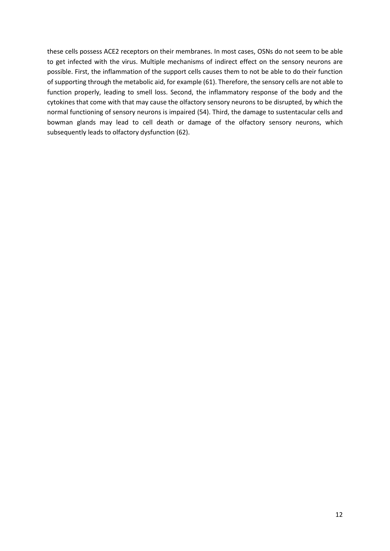these cells possess ACE2 receptors on their membranes. In most cases, OSNs do not seem to be able to get infected with the virus. Multiple mechanisms of indirect effect on the sensory neurons are possible. First, the inflammation of the support cells causes them to not be able to do their function of supporting through the metabolic aid, for example (61). Therefore, the sensory cells are not able to function properly, leading to smell loss. Second, the inflammatory response of the body and the cytokines that come with that may cause the olfactory sensory neurons to be disrupted, by which the normal functioning of sensory neurons is impaired (54). Third, the damage to sustentacular cells and bowman glands may lead to cell death or damage of the olfactory sensory neurons, which subsequently leads to olfactory dysfunction (62).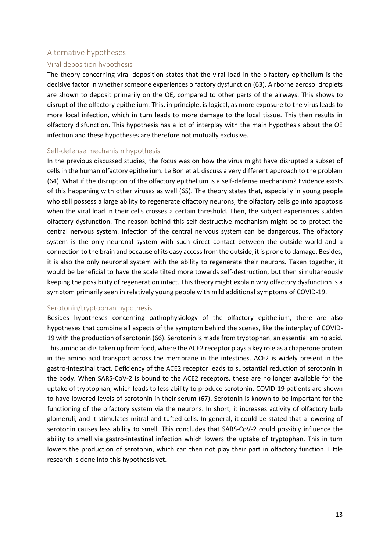#### <span id="page-12-0"></span>Alternative hypotheses

#### <span id="page-12-1"></span>Viral deposition hypothesis

The theory concerning viral deposition states that the viral load in the olfactory epithelium is the decisive factor in whether someone experiences olfactory dysfunction (63). Airborne aerosol droplets are shown to deposit primarily on the OE, compared to other parts of the airways. This shows to disrupt of the olfactory epithelium. This, in principle, is logical, as more exposure to the virus leads to more local infection, which in turn leads to more damage to the local tissue. This then results in olfactory disfunction. This hypothesis has a lot of interplay with the main hypothesis about the OE infection and these hypotheses are therefore not mutually exclusive.

#### <span id="page-12-2"></span>Self-defense mechanism hypothesis

In the previous discussed studies, the focus was on how the virus might have disrupted a subset of cells in the human olfactory epithelium. Le Bon et al. discuss a very different approach to the problem (64). What if the disruption of the olfactory epithelium is a self-defense mechanism? Evidence exists of this happening with other viruses as well (65). The theory states that, especially in young people who still possess a large ability to regenerate olfactory neurons, the olfactory cells go into apoptosis when the viral load in their cells crosses a certain threshold. Then, the subject experiences sudden olfactory dysfunction. The reason behind this self-destructive mechanism might be to protect the central nervous system. Infection of the central nervous system can be dangerous. The olfactory system is the only neuronal system with such direct contact between the outside world and a connection to the brain and because of its easy access from the outside, it is prone to damage. Besides, it is also the only neuronal system with the ability to regenerate their neurons. Taken together, it would be beneficial to have the scale tilted more towards self-destruction, but then simultaneously keeping the possibility of regeneration intact. This theory might explain why olfactory dysfunction is a symptom primarily seen in relatively young people with mild additional symptoms of COVID-19.

#### <span id="page-12-3"></span>Serotonin/tryptophan hypothesis

Besides hypotheses concerning pathophysiology of the olfactory epithelium, there are also hypotheses that combine all aspects of the symptom behind the scenes, like the interplay of COVID-19 with the production of serotonin (66). Serotonin is made from tryptophan, an essential amino acid. This amino acid is taken up from food, where the ACE2 receptor plays a key role as a chaperone protein in the amino acid transport across the membrane in the intestines. ACE2 is widely present in the gastro-intestinal tract. Deficiency of the ACE2 receptor leads to substantial reduction of serotonin in the body. When SARS-CoV-2 is bound to the ACE2 receptors, these are no longer available for the uptake of tryptophan, which leads to less ability to produce serotonin. COVID-19 patients are shown to have lowered levels of serotonin in their serum (67). Serotonin is known to be important for the functioning of the olfactory system via the neurons. In short, it increases activity of olfactory bulb glomeruli, and it stimulates mitral and tufted cells. In general, it could be stated that a lowering of serotonin causes less ability to smell. This concludes that SARS-CoV-2 could possibly influence the ability to smell via gastro-intestinal infection which lowers the uptake of tryptophan. This in turn lowers the production of serotonin, which can then not play their part in olfactory function. Little research is done into this hypothesis yet.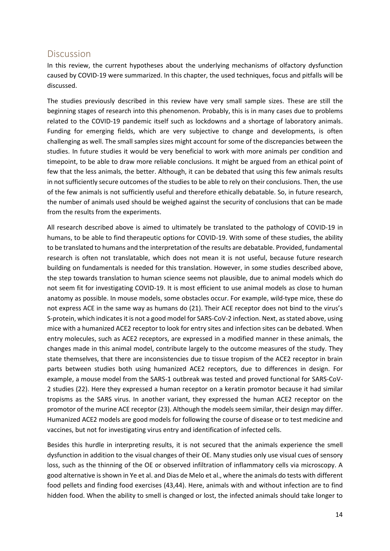## <span id="page-13-0"></span>Discussion

In this review, the current hypotheses about the underlying mechanisms of olfactory dysfunction caused by COVID-19 were summarized. In this chapter, the used techniques, focus and pitfalls will be discussed.

The studies previously described in this review have very small sample sizes. These are still the beginning stages of research into this phenomenon. Probably, this is in many cases due to problems related to the COVID-19 pandemic itself such as lockdowns and a shortage of laboratory animals. Funding for emerging fields, which are very subjective to change and developments, is often challenging as well. The small samples sizes might account for some of the discrepancies between the studies. In future studies it would be very beneficial to work with more animals per condition and timepoint, to be able to draw more reliable conclusions. It might be argued from an ethical point of few that the less animals, the better. Although, it can be debated that using this few animals results in not sufficiently secure outcomes of the studies to be able to rely on their conclusions. Then, the use of the few animals is not sufficiently useful and therefore ethically debatable. So, in future research, the number of animals used should be weighed against the security of conclusions that can be made from the results from the experiments.

All research described above is aimed to ultimately be translated to the pathology of COVID-19 in humans, to be able to find therapeutic options for COVID-19. With some of these studies, the ability to be translated to humans and the interpretation of the results are debatable. Provided, fundamental research is often not translatable, which does not mean it is not useful, because future research building on fundamentals is needed for this translation. However, in some studies described above, the step towards translation to human science seems not plausible, due to animal models which do not seem fit for investigating COVID-19. It is most efficient to use animal models as close to human anatomy as possible. In mouse models, some obstacles occur. For example, wild-type mice, these do not express ACE in the same way as humans do (21). Their ACE receptor does not bind to the virus's S-protein, which indicates it is not a good model for SARS-CoV-2 infection. Next, as stated above, using mice with a humanized ACE2 receptor to look for entry sites and infection sites can be debated. When entry molecules, such as ACE2 receptors, are expressed in a modified manner in these animals, the changes made in this animal model, contribute largely to the outcome measures of the study. They state themselves, that there are inconsistencies due to tissue tropism of the ACE2 receptor in brain parts between studies both using humanized ACE2 receptors, due to differences in design. For example, a mouse model from the SARS-1 outbreak was tested and proved functional for SARS-CoV-2 studies (22). Here they expressed a human receptor on a keratin promotor because it had similar tropisms as the SARS virus. In another variant, they expressed the human ACE2 receptor on the promotor of the murine ACE receptor (23). Although the models seem similar, their design may differ. Humanized ACE2 models are good models for following the course of disease or to test medicine and vaccines, but not for investigating virus entry and identification of infected cells.

Besides this hurdle in interpreting results, it is not secured that the animals experience the smell dysfunction in addition to the visual changes of their OE. Many studies only use visual cues of sensory loss, such as the thinning of the OE or observed infiltration of inflammatory cells via microscopy. A good alternative is shown in Ye et al. and Dias de Melo et al., where the animals do tests with different food pellets and finding food exercises (43,44). Here, animals with and without infection are to find hidden food. When the ability to smell is changed or lost, the infected animals should take longer to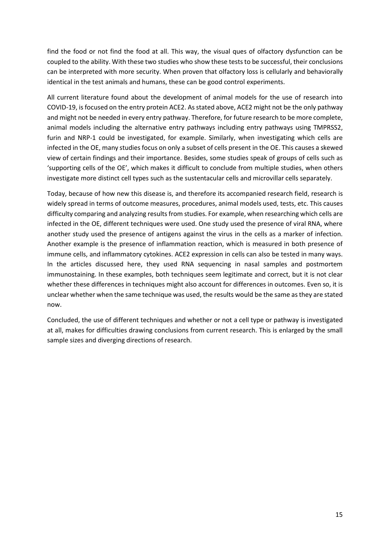find the food or not find the food at all. This way, the visual ques of olfactory dysfunction can be coupled to the ability. With these two studies who show these tests to be successful, their conclusions can be interpreted with more security. When proven that olfactory loss is cellularly and behaviorally identical in the test animals and humans, these can be good control experiments.

All current literature found about the development of animal models for the use of research into COVID-19, is focused on the entry protein ACE2. As stated above, ACE2 might not be the only pathway and might not be needed in every entry pathway. Therefore, for future research to be more complete, animal models including the alternative entry pathways including entry pathways using TMPRSS2, furin and NRP-1 could be investigated, for example. Similarly, when investigating which cells are infected in the OE, many studies focus on only a subset of cells present in the OE. This causes a skewed view of certain findings and their importance. Besides, some studies speak of groups of cells such as 'supporting cells of the OE', which makes it difficult to conclude from multiple studies, when others investigate more distinct cell types such as the sustentacular cells and microvillar cells separately.

Today, because of how new this disease is, and therefore its accompanied research field, research is widely spread in terms of outcome measures, procedures, animal models used, tests, etc. This causes difficulty comparing and analyzing results from studies. For example, when researching which cells are infected in the OE, different techniques were used. One study used the presence of viral RNA, where another study used the presence of antigens against the virus in the cells as a marker of infection. Another example is the presence of inflammation reaction, which is measured in both presence of immune cells, and inflammatory cytokines. ACE2 expression in cells can also be tested in many ways. In the articles discussed here, they used RNA sequencing in nasal samples and postmortem immunostaining. In these examples, both techniques seem legitimate and correct, but it is not clear whether these differences in techniques might also account for differences in outcomes. Even so, it is unclear whether when the same technique was used, the results would be the same as they are stated now.

Concluded, the use of different techniques and whether or not a cell type or pathway is investigated at all, makes for difficulties drawing conclusions from current research. This is enlarged by the small sample sizes and diverging directions of research.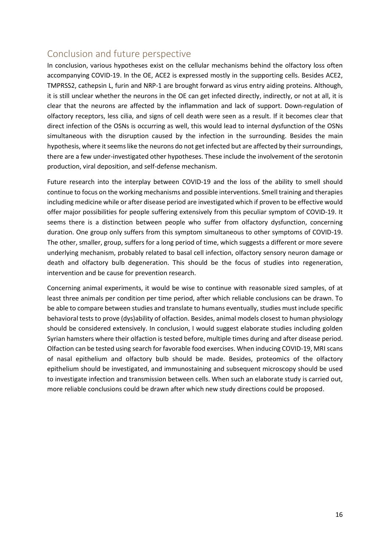# <span id="page-15-0"></span>Conclusion and future perspective

In conclusion, various hypotheses exist on the cellular mechanisms behind the olfactory loss often accompanying COVID-19. In the OE, ACE2 is expressed mostly in the supporting cells. Besides ACE2, TMPRSS2, cathepsin L, furin and NRP-1 are brought forward as virus entry aiding proteins. Although, it is still unclear whether the neurons in the OE can get infected directly, indirectly, or not at all, it is clear that the neurons are affected by the inflammation and lack of support. Down-regulation of olfactory receptors, less cilia, and signs of cell death were seen as a result. If it becomes clear that direct infection of the OSNs is occurring as well, this would lead to internal dysfunction of the OSNs simultaneous with the disruption caused by the infection in the surrounding. Besides the main hypothesis, where it seems like the neurons do not get infected but are affected by their surroundings, there are a few under-investigated other hypotheses. These include the involvement of the serotonin production, viral deposition, and self-defense mechanism.

Future research into the interplay between COVID-19 and the loss of the ability to smell should continue to focus on the working mechanisms and possible interventions. Smell training and therapies including medicine while or after disease period are investigated which if proven to be effective would offer major possibilities for people suffering extensively from this peculiar symptom of COVID-19. It seems there is a distinction between people who suffer from olfactory dysfunction, concerning duration. One group only suffers from this symptom simultaneous to other symptoms of COVID-19. The other, smaller, group, suffers for a long period of time, which suggests a different or more severe underlying mechanism, probably related to basal cell infection, olfactory sensory neuron damage or death and olfactory bulb degeneration. This should be the focus of studies into regeneration, intervention and be cause for prevention research.

Concerning animal experiments, it would be wise to continue with reasonable sized samples, of at least three animals per condition per time period, after which reliable conclusions can be drawn. To be able to compare between studies and translate to humans eventually, studies must include specific behavioral tests to prove (dys)ability of olfaction. Besides, animal models closest to human physiology should be considered extensively. In conclusion, I would suggest elaborate studies including golden Syrian hamsters where their olfaction is tested before, multiple times during and after disease period. Olfaction can be tested using search for favorable food exercises. When inducing COVID-19, MRI scans of nasal epithelium and olfactory bulb should be made. Besides, proteomics of the olfactory epithelium should be investigated, and immunostaining and subsequent microscopy should be used to investigate infection and transmission between cells. When such an elaborate study is carried out, more reliable conclusions could be drawn after which new study directions could be proposed.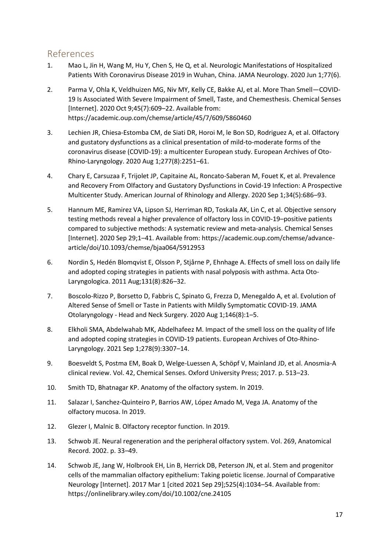# <span id="page-16-0"></span>References

- 1. Mao L, Jin H, Wang M, Hu Y, Chen S, He Q, et al. Neurologic Manifestations of Hospitalized Patients With Coronavirus Disease 2019 in Wuhan, China. JAMA Neurology. 2020 Jun 1;77(6).
- 2. Parma V, Ohla K, Veldhuizen MG, Niv MY, Kelly CE, Bakke AJ, et al. More Than Smell—COVID-19 Is Associated With Severe Impairment of Smell, Taste, and Chemesthesis. Chemical Senses [Internet]. 2020 Oct 9;45(7):609–22. Available from: https://academic.oup.com/chemse/article/45/7/609/5860460
- 3. Lechien JR, Chiesa-Estomba CM, de Siati DR, Horoi M, le Bon SD, Rodriguez A, et al. Olfactory and gustatory dysfunctions as a clinical presentation of mild-to-moderate forms of the coronavirus disease (COVID-19): a multicenter European study. European Archives of Oto-Rhino-Laryngology. 2020 Aug 1;277(8):2251–61.
- 4. Chary E, Carsuzaa F, Trijolet JP, Capitaine AL, Roncato-Saberan M, Fouet K, et al. Prevalence and Recovery From Olfactory and Gustatory Dysfunctions in Covid-19 Infection: A Prospective Multicenter Study. American Journal of Rhinology and Allergy. 2020 Sep 1;34(5):686–93.
- 5. Hannum ME, Ramirez VA, Lipson SJ, Herriman RD, Toskala AK, Lin C, et al. Objective sensory testing methods reveal a higher prevalence of olfactory loss in COVID-19–positive patients compared to subjective methods: A systematic review and meta-analysis. Chemical Senses [Internet]. 2020 Sep 29;1–41. Available from: https://academic.oup.com/chemse/advancearticle/doi/10.1093/chemse/bjaa064/5912953
- 6. Nordin S, Hedén Blomqvist E, Olsson P, Stjårne P, Ehnhage A. Effects of smell loss on daily life and adopted coping strategies in patients with nasal polyposis with asthma. Acta Oto-Laryngologica. 2011 Aug;131(8):826–32.
- 7. Boscolo-Rizzo P, Borsetto D, Fabbris C, Spinato G, Frezza D, Menegaldo A, et al. Evolution of Altered Sense of Smell or Taste in Patients with Mildly Symptomatic COVID-19. JAMA Otolaryngology - Head and Neck Surgery. 2020 Aug 1;146(8):1–5.
- 8. Elkholi SMA, Abdelwahab MK, Abdelhafeez M. Impact of the smell loss on the quality of life and adopted coping strategies in COVID-19 patients. European Archives of Oto-Rhino-Laryngology. 2021 Sep 1;278(9):3307–14.
- 9. Boesveldt S, Postma EM, Boak D, Welge-Luessen A, Schöpf V, Mainland JD, et al. Anosmia-A clinical review. Vol. 42, Chemical Senses. Oxford University Press; 2017. p. 513–23.
- 10. Smith TD, Bhatnagar KP. Anatomy of the olfactory system. In 2019.
- 11. Salazar I, Sanchez-Quinteiro P, Barrios AW, López Amado M, Vega JA. Anatomy of the olfactory mucosa. In 2019.
- 12. Glezer I, Malnic B. Olfactory receptor function. In 2019.
- 13. Schwob JE. Neural regeneration and the peripheral olfactory system. Vol. 269, Anatomical Record. 2002. p. 33–49.
- 14. Schwob JE, Jang W, Holbrook EH, Lin B, Herrick DB, Peterson JN, et al. Stem and progenitor cells of the mammalian olfactory epithelium: Taking poietic license. Journal of Comparative Neurology [Internet]. 2017 Mar 1 [cited 2021 Sep 29];525(4):1034–54. Available from: https://onlinelibrary.wiley.com/doi/10.1002/cne.24105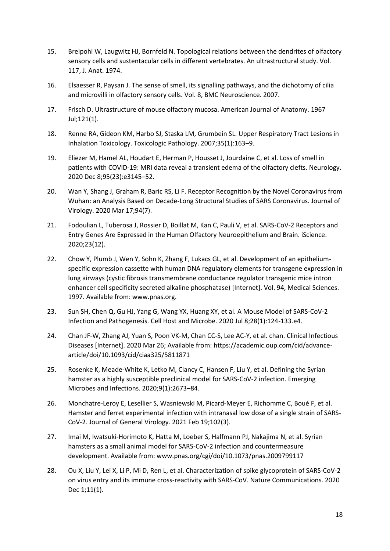- 15. Breipohl W, Laugwitz HJ, Bornfeld N. Topological relations between the dendrites of olfactory sensory cells and sustentacular cells in different vertebrates. An ultrastructural study. Vol. 117, J. Anat. 1974.
- 16. Elsaesser R, Paysan J. The sense of smell, its signalling pathways, and the dichotomy of cilia and microvilli in olfactory sensory cells. Vol. 8, BMC Neuroscience. 2007.
- 17. Frisch D. Ultrastructure of mouse olfactory mucosa. American Journal of Anatomy. 1967 Jul;121(1).
- 18. Renne RA, Gideon KM, Harbo SJ, Staska LM, Grumbein SL. Upper Respiratory Tract Lesions in Inhalation Toxicology. Toxicologic Pathology. 2007;35(1):163–9.
- 19. Eliezer M, Hamel AL, Houdart E, Herman P, Housset J, Jourdaine C, et al. Loss of smell in patients with COVID-19: MRI data reveal a transient edema of the olfactory clefts. Neurology. 2020 Dec 8;95(23):e3145–52.
- 20. Wan Y, Shang J, Graham R, Baric RS, Li F. Receptor Recognition by the Novel Coronavirus from Wuhan: an Analysis Based on Decade-Long Structural Studies of SARS Coronavirus. Journal of Virology. 2020 Mar 17;94(7).
- 21. Fodoulian L, Tuberosa J, Rossier D, Boillat M, Kan C, Pauli V, et al. SARS-CoV-2 Receptors and Entry Genes Are Expressed in the Human Olfactory Neuroepithelium and Brain. iScience. 2020;23(12).
- 22. Chow Y, Plumb J, Wen Y, Sohn K, Zhang F, Lukacs GL, et al. Development of an epitheliumspecific expression cassette with human DNA regulatory elements for transgene expression in lung airways (cystic fibrosis transmembrane conductance regulator transgenic mice intron enhancer cell specificity secreted alkaline phosphatase) [Internet]. Vol. 94, Medical Sciences. 1997. Available from: www.pnas.org.
- 23. Sun SH, Chen Q, Gu HJ, Yang G, Wang YX, Huang XY, et al. A Mouse Model of SARS-CoV-2 Infection and Pathogenesis. Cell Host and Microbe. 2020 Jul 8;28(1):124-133.e4.
- 24. Chan JF-W, Zhang AJ, Yuan S, Poon VK-M, Chan CC-S, Lee AC-Y, et al. chan. Clinical Infectious Diseases [Internet]. 2020 Mar 26; Available from: https://academic.oup.com/cid/advancearticle/doi/10.1093/cid/ciaa325/5811871
- 25. Rosenke K, Meade-White K, Letko M, Clancy C, Hansen F, Liu Y, et al. Defining the Syrian hamster as a highly susceptible preclinical model for SARS-CoV-2 infection. Emerging Microbes and Infections. 2020;9(1):2673–84.
- 26. Monchatre-Leroy E, Lesellier S, Wasniewski M, Picard-Meyer E, Richomme C, Boué F, et al. Hamster and ferret experimental infection with intranasal low dose of a single strain of SARS-CoV-2. Journal of General Virology. 2021 Feb 19;102(3).
- 27. Imai M, Iwatsuki-Horimoto K, Hatta M, Loeber S, Halfmann PJ, Nakajima N, et al. Syrian hamsters as a small animal model for SARS-CoV-2 infection and countermeasure development. Available from: www.pnas.org/cgi/doi/10.1073/pnas.2009799117
- 28. Ou X, Liu Y, Lei X, Li P, Mi D, Ren L, et al. Characterization of spike glycoprotein of SARS-CoV-2 on virus entry and its immune cross-reactivity with SARS-CoV. Nature Communications. 2020 Dec 1;11(1).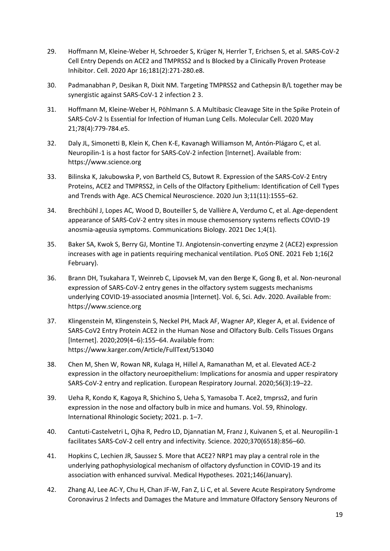- 29. Hoffmann M, Kleine-Weber H, Schroeder S, Krüger N, Herrler T, Erichsen S, et al. SARS-CoV-2 Cell Entry Depends on ACE2 and TMPRSS2 and Is Blocked by a Clinically Proven Protease Inhibitor. Cell. 2020 Apr 16;181(2):271-280.e8.
- 30. Padmanabhan P, Desikan R, Dixit NM. Targeting TMPRSS2 and Cathepsin B/L together may be synergistic against SARS-CoV-1 2 infection 2 3.
- 31. Hoffmann M, Kleine-Weber H, Pöhlmann S. A Multibasic Cleavage Site in the Spike Protein of SARS-CoV-2 Is Essential for Infection of Human Lung Cells. Molecular Cell. 2020 May 21;78(4):779-784.e5.
- 32. Daly JL, Simonetti B, Klein K, Chen K-E, Kavanagh Williamson M, Antón-Plágaro C, et al. Neuropilin-1 is a host factor for SARS-CoV-2 infection [Internet]. Available from: https://www.science.org
- 33. Bilinska K, Jakubowska P, von Bartheld CS, Butowt R. Expression of the SARS-CoV-2 Entry Proteins, ACE2 and TMPRSS2, in Cells of the Olfactory Epithelium: Identification of Cell Types and Trends with Age. ACS Chemical Neuroscience. 2020 Jun 3;11(11):1555–62.
- 34. Brechbühl J, Lopes AC, Wood D, Bouteiller S, de Vallière A, Verdumo C, et al. Age-dependent appearance of SARS-CoV-2 entry sites in mouse chemosensory systems reflects COVID-19 anosmia-ageusia symptoms. Communications Biology. 2021 Dec 1;4(1).
- 35. Baker SA, Kwok S, Berry GJ, Montine TJ. Angiotensin-converting enzyme 2 (ACE2) expression increases with age in patients requiring mechanical ventilation. PLoS ONE. 2021 Feb 1;16(2 February).
- 36. Brann DH, Tsukahara T, Weinreb C, Lipovsek M, van den Berge K, Gong B, et al. Non-neuronal expression of SARS-CoV-2 entry genes in the olfactory system suggests mechanisms underlying COVID-19-associated anosmia [Internet]. Vol. 6, Sci. Adv. 2020. Available from: https://www.science.org
- 37. Klingenstein M, Klingenstein S, Neckel PH, Mack AF, Wagner AP, Kleger A, et al. Evidence of SARS-CoV2 Entry Protein ACE2 in the Human Nose and Olfactory Bulb. Cells Tissues Organs [Internet]. 2020;209(4–6):155–64. Available from: https://www.karger.com/Article/FullText/513040
- 38. Chen M, Shen W, Rowan NR, Kulaga H, Hillel A, Ramanathan M, et al. Elevated ACE-2 expression in the olfactory neuroepithelium: Implications for anosmia and upper respiratory SARS-CoV-2 entry and replication. European Respiratory Journal. 2020;56(3):19–22.
- 39. Ueha R, Kondo K, Kagoya R, Shichino S, Ueha S, Yamasoba T. Ace2, tmprss2, and furin expression in the nose and olfactory bulb in mice and humans. Vol. 59, Rhinology. International Rhinologic Society; 2021. p. 1–7.
- 40. Cantuti-Castelvetri L, Ojha R, Pedro LD, Djannatian M, Franz J, Kuivanen S, et al. Neuropilin-1 facilitates SARS-CoV-2 cell entry and infectivity. Science. 2020;370(6518):856–60.
- 41. Hopkins C, Lechien JR, Saussez S. More that ACE2? NRP1 may play a central role in the underlying pathophysiological mechanism of olfactory dysfunction in COVID-19 and its association with enhanced survival. Medical Hypotheses. 2021;146(January).
- 42. Zhang AJ, Lee AC-Y, Chu H, Chan JF-W, Fan Z, Li C, et al. Severe Acute Respiratory Syndrome Coronavirus 2 Infects and Damages the Mature and Immature Olfactory Sensory Neurons of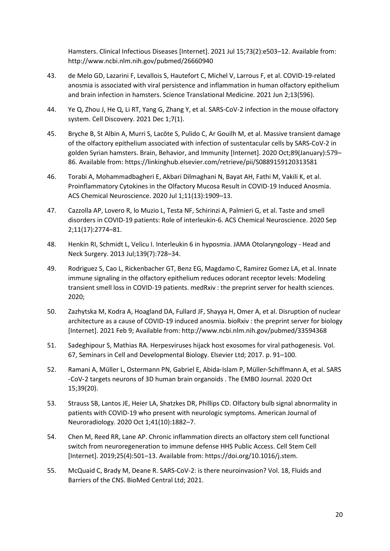Hamsters. Clinical Infectious Diseases [Internet]. 2021 Jul 15;73(2):e503–12. Available from: http://www.ncbi.nlm.nih.gov/pubmed/26660940

- 43. de Melo GD, Lazarini F, Levallois S, Hautefort C, Michel V, Larrous F, et al. COVID-19-related anosmia is associated with viral persistence and inflammation in human olfactory epithelium and brain infection in hamsters. Science Translational Medicine. 2021 Jun 2;13(596).
- 44. Ye Q, Zhou J, He Q, Li RT, Yang G, Zhang Y, et al. SARS-CoV-2 infection in the mouse olfactory system. Cell Discovery. 2021 Dec 1;7(1).
- 45. Bryche B, St Albin A, Murri S, Lacôte S, Pulido C, Ar Gouilh M, et al. Massive transient damage of the olfactory epithelium associated with infection of sustentacular cells by SARS-CoV-2 in golden Syrian hamsters. Brain, Behavior, and Immunity [Internet]. 2020 Oct;89(January):579– 86. Available from: https://linkinghub.elsevier.com/retrieve/pii/S0889159120313581
- 46. Torabi A, Mohammadbagheri E, Akbari Dilmaghani N, Bayat AH, Fathi M, Vakili K, et al. Proinflammatory Cytokines in the Olfactory Mucosa Result in COVID-19 Induced Anosmia. ACS Chemical Neuroscience. 2020 Jul 1;11(13):1909–13.
- 47. Cazzolla AP, Lovero R, lo Muzio L, Testa NF, Schirinzi A, Palmieri G, et al. Taste and smell disorders in COVID-19 patients: Role of interleukin-6. ACS Chemical Neuroscience. 2020 Sep 2;11(17):2774–81.
- 48. Henkin RI, Schmidt L, Velicu I. Interleukin 6 in hyposmia. JAMA Otolaryngology Head and Neck Surgery. 2013 Jul;139(7):728–34.
- 49. Rodriguez S, Cao L, Rickenbacher GT, Benz EG, Magdamo C, Ramirez Gomez LA, et al. Innate immune signaling in the olfactory epithelium reduces odorant receptor levels: Modeling transient smell loss in COVID-19 patients. medRxiv : the preprint server for health sciences. 2020;
- 50. Zazhytska M, Kodra A, Hoagland DA, Fullard JF, Shayya H, Omer A, et al. Disruption of nuclear architecture as a cause of COVID-19 induced anosmia. bioRxiv : the preprint server for biology [Internet]. 2021 Feb 9; Available from: http://www.ncbi.nlm.nih.gov/pubmed/33594368
- 51. Sadeghipour S, Mathias RA. Herpesviruses hijack host exosomes for viral pathogenesis. Vol. 67, Seminars in Cell and Developmental Biology. Elsevier Ltd; 2017. p. 91–100.
- 52. Ramani A, Müller L, Ostermann PN, Gabriel E, Abida‐Islam P, Müller‐Schiffmann A, et al. SARS ‐CoV‐2 targets neurons of 3D human brain organoids . The EMBO Journal. 2020 Oct 15;39(20).
- 53. Strauss SB, Lantos JE, Heier LA, Shatzkes DR, Phillips CD. Olfactory bulb signal abnormality in patients with COVID-19 who present with neurologic symptoms. American Journal of Neuroradiology. 2020 Oct 1;41(10):1882–7.
- 54. Chen M, Reed RR, Lane AP. Chronic inflammation directs an olfactory stem cell functional switch from neuroregeneration to immune defense HHS Public Access. Cell Stem Cell [Internet]. 2019;25(4):501–13. Available from: https://doi.org/10.1016/j.stem.
- 55. McQuaid C, Brady M, Deane R. SARS-CoV-2: is there neuroinvasion? Vol. 18, Fluids and Barriers of the CNS. BioMed Central Ltd; 2021.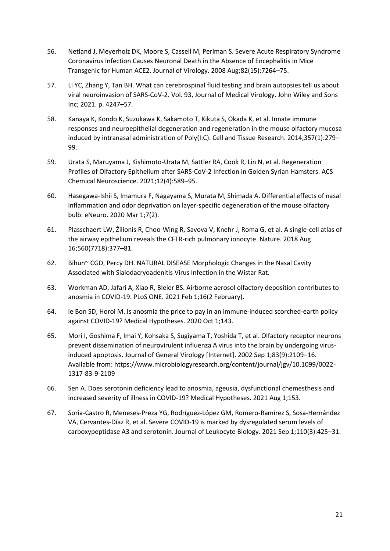- 56. Netland J, Meyerholz DK, Moore S, Cassell M, Perlman S. Severe Acute Respiratory Syndrome Coronavirus Infection Causes Neuronal Death in the Absence of Encephalitis in Mice Transgenic for Human ACE2. Journal of Virology. 2008 Aug;82(15):7264–75.
- 57. Li YC, Zhang Y, Tan BH. What can cerebrospinal fluid testing and brain autopsies tell us about viral neuroinvasion of SARS-CoV-2. Vol. 93, Journal of Medical Virology. John Wiley and Sons Inc; 2021. p. 4247–57.
- 58. Kanaya K, Kondo K, Suzukawa K, Sakamoto T, Kikuta S, Okada K, et al. Innate immune responses and neuroepithelial degeneration and regeneration in the mouse olfactory mucosa induced by intranasal administration of Poly(I:C). Cell and Tissue Research. 2014;357(1):279– 99.
- 59. Urata S, Maruyama J, Kishimoto-Urata M, Sattler RA, Cook R, Lin N, et al. Regeneration Profiles of Olfactory Epithelium after SARS-CoV-2 Infection in Golden Syrian Hamsters. ACS Chemical Neuroscience. 2021;12(4):589–95.
- 60. Hasegawa-Ishii S, Imamura F, Nagayama S, Murata M, Shimada A. Differential effects of nasal inflammation and odor deprivation on layer-specific degeneration of the mouse olfactory bulb. eNeuro. 2020 Mar 1;7(2).
- 61. Plasschaert LW, Žilionis R, Choo-Wing R, Savova V, Knehr J, Roma G, et al. A single-cell atlas of the airway epithelium reveals the CFTR-rich pulmonary ionocyte. Nature. 2018 Aug 16;560(7718):377–81.
- 62. Bihun~ CGD, Percy DH. NATURAL DISEASE Morphologic Changes in the Nasal Cavity Associated with Sialodacryoadenitis Virus Infection in the Wistar Rat.
- 63. Workman AD, Jafari A, Xiao R, Bleier BS. Airborne aerosol olfactory deposition contributes to anosmia in COVID-19. PLoS ONE. 2021 Feb 1;16(2 February).
- 64. le Bon SD, Horoi M. Is anosmia the price to pay in an immune-induced scorched-earth policy against COVID-19? Medical Hypotheses. 2020 Oct 1;143.
- 65. Mori I, Goshima F, Imai Y, Kohsaka S, Sugiyama T, Yoshida T, et al. Olfactory receptor neurons prevent dissemination of neurovirulent influenza A virus into the brain by undergoing virusinduced apoptosis. Journal of General Virology [Internet]. 2002 Sep 1;83(9):2109–16. Available from: https://www.microbiologyresearch.org/content/journal/jgv/10.1099/0022- 1317-83-9-2109
- 66. Sen A. Does serotonin deficiency lead to anosmia, ageusia, dysfunctional chemesthesis and increased severity of illness in COVID-19? Medical Hypotheses. 2021 Aug 1;153.
- 67. Soria-Castro R, Meneses-Preza YG, Rodríguez-López GM, Romero-Ramírez S, Sosa-Hernández VA, Cervantes-Díaz R, et al. Severe COVID-19 is marked by dysregulated serum levels of carboxypeptidase A3 and serotonin. Journal of Leukocyte Biology. 2021 Sep 1;110(3):425–31.